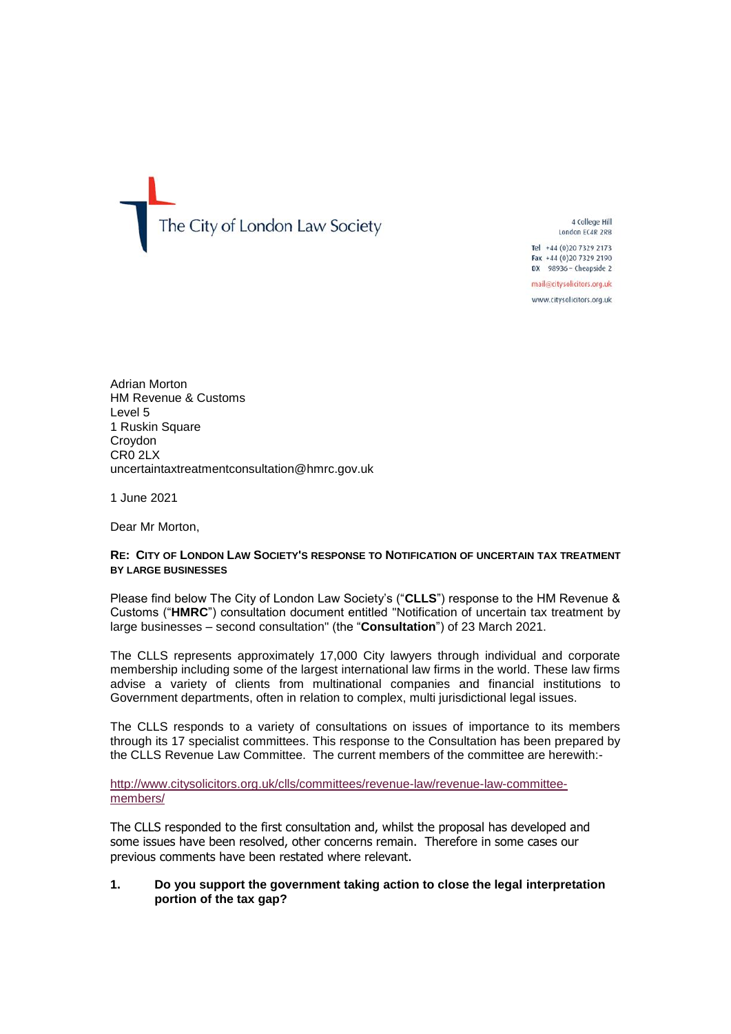The City of London Law Society

4 College Hill London EC4R 2RB

Tel +44 (0)20 7329 2173 Fax +44 (0)20 7329 2190 DX 98936 - Cheapside 2

mail@citysolicitors.org.uk

www.citysolicitors.org.uk

Adrian Morton HM Revenue & Customs Level 5 1 Ruskin Square Croydon CR0 2LX uncertaintaxtreatmentconsultation@hmrc.gov.uk

1 June 2021

Dear Mr Morton,

#### **RE: CITY OF LONDON LAW SOCIETY'S RESPONSE TO NOTIFICATION OF UNCERTAIN TAX TREATMENT BY LARGE BUSINESSES**

Please find below The City of London Law Society's ("**CLLS**") response to the HM Revenue & Customs ("**HMRC**") consultation document entitled "Notification of uncertain tax treatment by large businesses – second consultation" (the "**Consultation**") of 23 March 2021.

The CLLS represents approximately 17,000 City lawyers through individual and corporate membership including some of the largest international law firms in the world. These law firms advise a variety of clients from multinational companies and financial institutions to Government departments, often in relation to complex, multi jurisdictional legal issues.

The CLLS responds to a variety of consultations on issues of importance to its members through its 17 specialist committees. This response to the Consultation has been prepared by the CLLS Revenue Law Committee. The current members of the committee are herewith:-

[http://www.citysolicitors.org.uk/clls/committees/revenue-law/revenue-law-committee](http://www.citysolicitors.org.uk/clls/committees/revenue-law/revenue-law-committee-members/)[members/](http://www.citysolicitors.org.uk/clls/committees/revenue-law/revenue-law-committee-members/)

The CLLS responded to the first consultation and, whilst the proposal has developed and some issues have been resolved, other concerns remain. Therefore in some cases our previous comments have been restated where relevant.

### **1. Do you support the government taking action to close the legal interpretation portion of the tax gap?**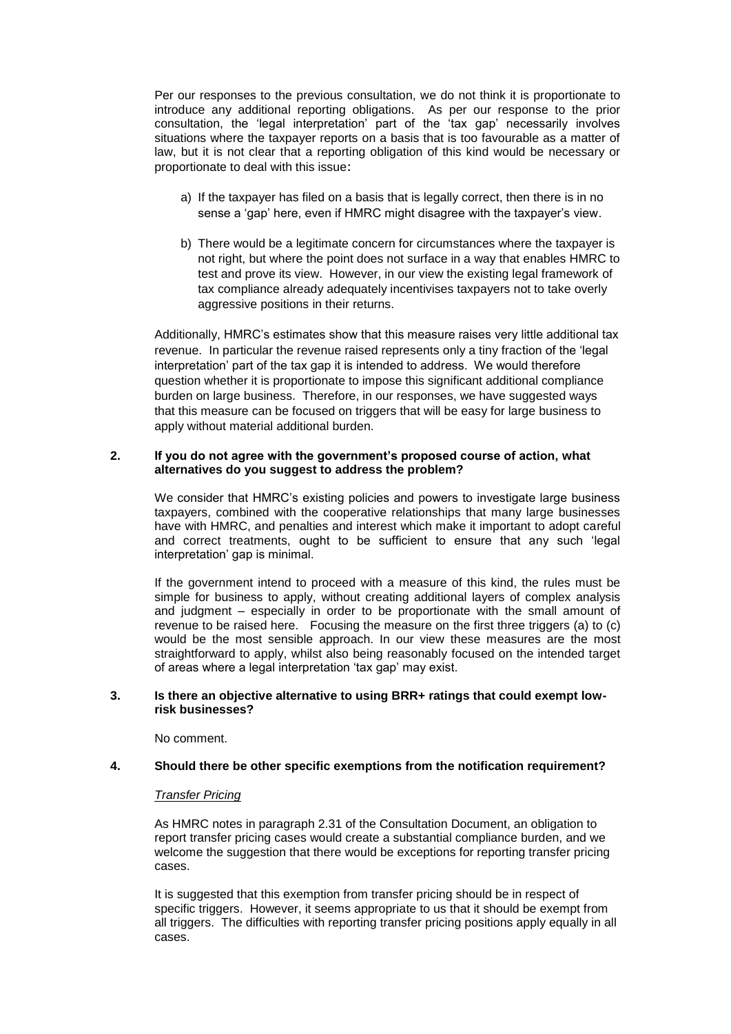Per our responses to the previous consultation, we do not think it is proportionate to introduce any additional reporting obligations. As per our response to the prior consultation, the 'legal interpretation' part of the 'tax gap' necessarily involves situations where the taxpayer reports on a basis that is too favourable as a matter of law, but it is not clear that a reporting obligation of this kind would be necessary or proportionate to deal with this issue:

- a) If the taxpayer has filed on a basis that is legally correct, then there is in no sense a 'gap' here, even if HMRC might disagree with the taxpayer's view.
- b) There would be a legitimate concern for circumstances where the taxpayer is not right, but where the point does not surface in a way that enables HMRC to test and prove its view. However, in our view the existing legal framework of tax compliance already adequately incentivises taxpayers not to take overly aggressive positions in their returns.

Additionally, HMRC's estimates show that this measure raises very little additional tax revenue. In particular the revenue raised represents only a tiny fraction of the 'legal interpretation' part of the tax gap it is intended to address. We would therefore question whether it is proportionate to impose this significant additional compliance burden on large business. Therefore, in our responses, we have suggested ways that this measure can be focused on triggers that will be easy for large business to apply without material additional burden.

## **2. If you do not agree with the government's proposed course of action, what alternatives do you suggest to address the problem?**

We consider that HMRC's existing policies and powers to investigate large business taxpayers, combined with the cooperative relationships that many large businesses have with HMRC, and penalties and interest which make it important to adopt careful and correct treatments, ought to be sufficient to ensure that any such 'legal interpretation' gap is minimal.

If the government intend to proceed with a measure of this kind, the rules must be simple for business to apply, without creating additional layers of complex analysis and judgment – especially in order to be proportionate with the small amount of revenue to be raised here. Focusing the measure on the first three triggers (a) to (c) would be the most sensible approach. In our view these measures are the most straightforward to apply, whilst also being reasonably focused on the intended target of areas where a legal interpretation 'tax gap' may exist.

# **3. Is there an objective alternative to using BRR+ ratings that could exempt lowrisk businesses?**

No comment.

# **4. Should there be other specific exemptions from the notification requirement?**

### *Transfer Pricing*

As HMRC notes in paragraph 2.31 of the Consultation Document, an obligation to report transfer pricing cases would create a substantial compliance burden, and we welcome the suggestion that there would be exceptions for reporting transfer pricing cases.

It is suggested that this exemption from transfer pricing should be in respect of specific triggers. However, it seems appropriate to us that it should be exempt from all triggers. The difficulties with reporting transfer pricing positions apply equally in all cases.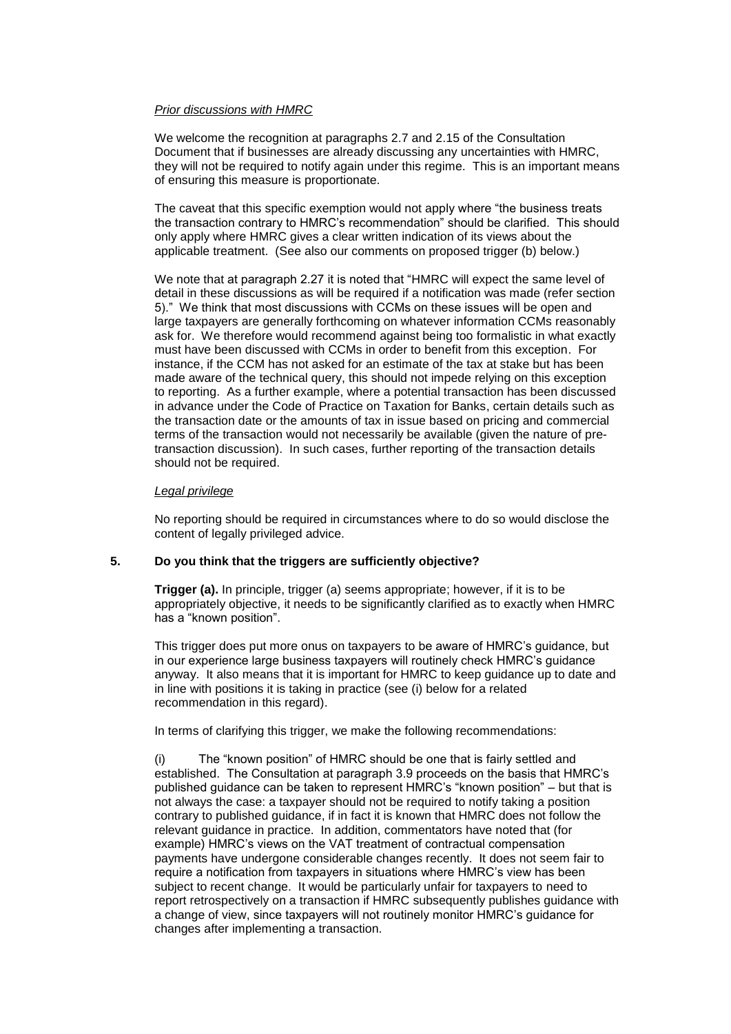### *Prior discussions with HMRC*

We welcome the recognition at paragraphs 2.7 and 2.15 of the Consultation Document that if businesses are already discussing any uncertainties with HMRC, they will not be required to notify again under this regime. This is an important means of ensuring this measure is proportionate.

The caveat that this specific exemption would not apply where "the business treats the transaction contrary to HMRC's recommendation" should be clarified. This should only apply where HMRC gives a clear written indication of its views about the applicable treatment. (See also our comments on proposed trigger (b) below.)

We note that at paragraph 2.27 it is noted that "HMRC will expect the same level of detail in these discussions as will be required if a notification was made (refer section 5)." We think that most discussions with CCMs on these issues will be open and large taxpayers are generally forthcoming on whatever information CCMs reasonably ask for. We therefore would recommend against being too formalistic in what exactly must have been discussed with CCMs in order to benefit from this exception. For instance, if the CCM has not asked for an estimate of the tax at stake but has been made aware of the technical query, this should not impede relying on this exception to reporting. As a further example, where a potential transaction has been discussed in advance under the Code of Practice on Taxation for Banks, certain details such as the transaction date or the amounts of tax in issue based on pricing and commercial terms of the transaction would not necessarily be available (given the nature of pretransaction discussion). In such cases, further reporting of the transaction details should not be required.

#### *Legal privilege*

No reporting should be required in circumstances where to do so would disclose the content of legally privileged advice.

### **5. Do you think that the triggers are sufficiently objective?**

**Trigger (a).** In principle, trigger (a) seems appropriate; however, if it is to be appropriately objective, it needs to be significantly clarified as to exactly when HMRC has a "known position".

This trigger does put more onus on taxpayers to be aware of HMRC's guidance, but in our experience large business taxpayers will routinely check HMRC's guidance anyway. It also means that it is important for HMRC to keep guidance up to date and in line with positions it is taking in practice (see (i) below for a related recommendation in this regard).

In terms of clarifying this trigger, we make the following recommendations:

(i) The "known position" of HMRC should be one that is fairly settled and established. The Consultation at paragraph 3.9 proceeds on the basis that HMRC's published guidance can be taken to represent HMRC's "known position" – but that is not always the case: a taxpayer should not be required to notify taking a position contrary to published guidance, if in fact it is known that HMRC does not follow the relevant guidance in practice. In addition, commentators have noted that (for example) HMRC's views on the VAT treatment of contractual compensation payments have undergone considerable changes recently. It does not seem fair to require a notification from taxpayers in situations where HMRC's view has been subject to recent change. It would be particularly unfair for taxpayers to need to report retrospectively on a transaction if HMRC subsequently publishes guidance with a change of view, since taxpayers will not routinely monitor HMRC's guidance for changes after implementing a transaction.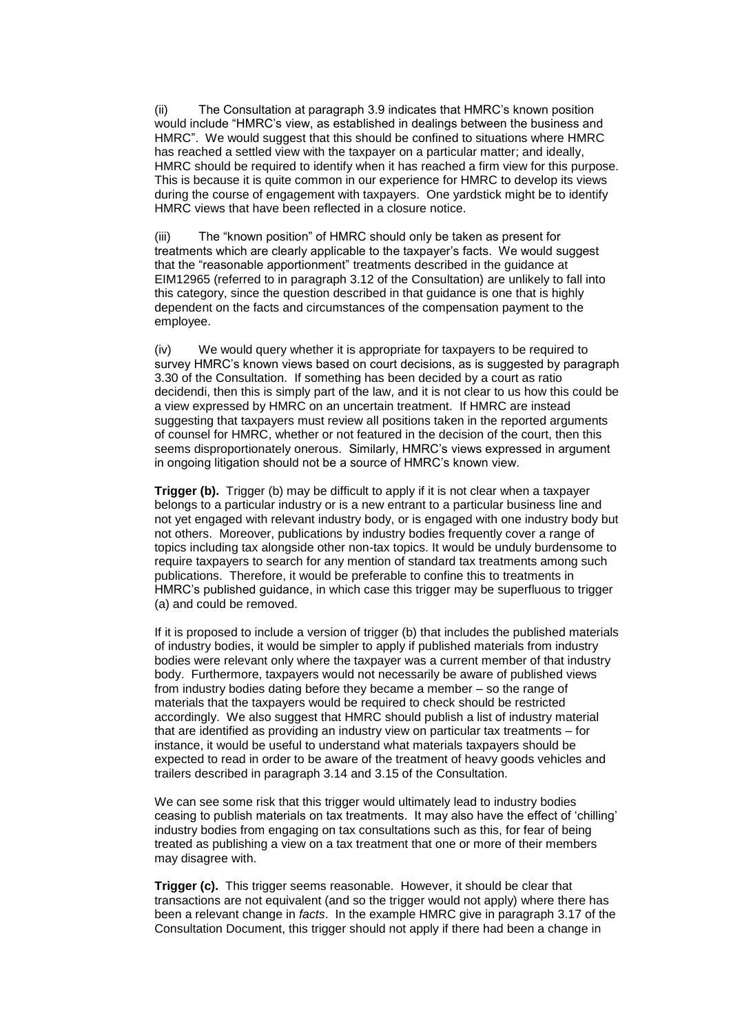The Consultation at paragraph 3.9 indicates that HMRC's known position would include "HMRC's view, as established in dealings between the business and HMRC". We would suggest that this should be confined to situations where HMRC has reached a settled view with the taxpayer on a particular matter; and ideally, HMRC should be required to identify when it has reached a firm view for this purpose. This is because it is quite common in our experience for HMRC to develop its views during the course of engagement with taxpayers. One yardstick might be to identify HMRC views that have been reflected in a closure notice.

(iii) The "known position" of HMRC should only be taken as present for treatments which are clearly applicable to the taxpayer's facts. We would suggest that the "reasonable apportionment" treatments described in the guidance at EIM12965 (referred to in paragraph 3.12 of the Consultation) are unlikely to fall into this category, since the question described in that guidance is one that is highly dependent on the facts and circumstances of the compensation payment to the employee.

(iv) We would query whether it is appropriate for taxpayers to be required to survey HMRC's known views based on court decisions, as is suggested by paragraph 3.30 of the Consultation. If something has been decided by a court as ratio decidendi, then this is simply part of the law, and it is not clear to us how this could be a view expressed by HMRC on an uncertain treatment. If HMRC are instead suggesting that taxpayers must review all positions taken in the reported arguments of counsel for HMRC, whether or not featured in the decision of the court, then this seems disproportionately onerous. Similarly, HMRC's views expressed in argument in ongoing litigation should not be a source of HMRC's known view.

**Trigger (b).** Trigger (b) may be difficult to apply if it is not clear when a taxpayer belongs to a particular industry or is a new entrant to a particular business line and not yet engaged with relevant industry body, or is engaged with one industry body but not others. Moreover, publications by industry bodies frequently cover a range of topics including tax alongside other non-tax topics. It would be unduly burdensome to require taxpayers to search for any mention of standard tax treatments among such publications. Therefore, it would be preferable to confine this to treatments in HMRC's published guidance, in which case this trigger may be superfluous to trigger (a) and could be removed.

If it is proposed to include a version of trigger (b) that includes the published materials of industry bodies, it would be simpler to apply if published materials from industry bodies were relevant only where the taxpayer was a current member of that industry body. Furthermore, taxpayers would not necessarily be aware of published views from industry bodies dating before they became a member – so the range of materials that the taxpayers would be required to check should be restricted accordingly. We also suggest that HMRC should publish a list of industry material that are identified as providing an industry view on particular tax treatments – for instance, it would be useful to understand what materials taxpayers should be expected to read in order to be aware of the treatment of heavy goods vehicles and trailers described in paragraph 3.14 and 3.15 of the Consultation.

We can see some risk that this trigger would ultimately lead to industry bodies ceasing to publish materials on tax treatments. It may also have the effect of 'chilling' industry bodies from engaging on tax consultations such as this, for fear of being treated as publishing a view on a tax treatment that one or more of their members may disagree with.

**Trigger (c).** This trigger seems reasonable. However, it should be clear that transactions are not equivalent (and so the trigger would not apply) where there has been a relevant change in *facts*. In the example HMRC give in paragraph 3.17 of the Consultation Document, this trigger should not apply if there had been a change in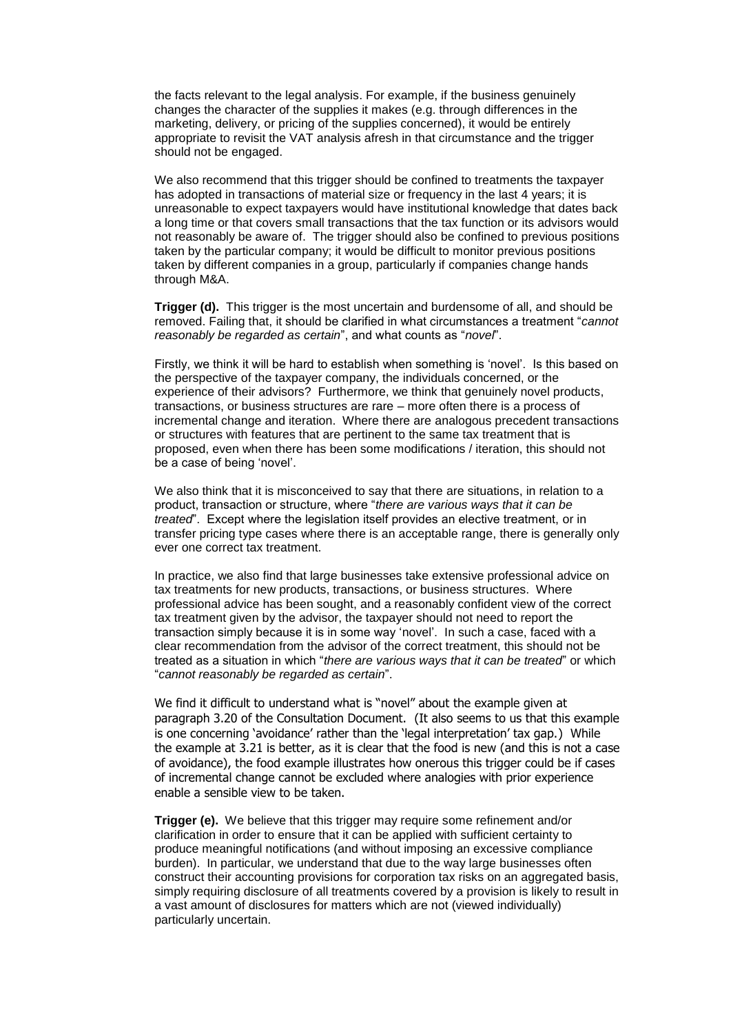the facts relevant to the legal analysis. For example, if the business genuinely changes the character of the supplies it makes (e.g. through differences in the marketing, delivery, or pricing of the supplies concerned), it would be entirely appropriate to revisit the VAT analysis afresh in that circumstance and the trigger should not be engaged.

We also recommend that this trigger should be confined to treatments the taxpayer has adopted in transactions of material size or frequency in the last 4 years; it is unreasonable to expect taxpayers would have institutional knowledge that dates back a long time or that covers small transactions that the tax function or its advisors would not reasonably be aware of. The trigger should also be confined to previous positions taken by the particular company; it would be difficult to monitor previous positions taken by different companies in a group, particularly if companies change hands through M&A.

**Trigger (d).** This trigger is the most uncertain and burdensome of all, and should be removed. Failing that, it should be clarified in what circumstances a treatment "*cannot reasonably be regarded as certain*", and what counts as "*novel*".

Firstly, we think it will be hard to establish when something is 'novel'. Is this based on the perspective of the taxpayer company, the individuals concerned, or the experience of their advisors? Furthermore, we think that genuinely novel products, transactions, or business structures are rare – more often there is a process of incremental change and iteration. Where there are analogous precedent transactions or structures with features that are pertinent to the same tax treatment that is proposed, even when there has been some modifications / iteration, this should not be a case of being 'novel'.

We also think that it is misconceived to say that there are situations, in relation to a product, transaction or structure, where "*there are various ways that it can be treated*". Except where the legislation itself provides an elective treatment, or in transfer pricing type cases where there is an acceptable range, there is generally only ever one correct tax treatment.

In practice, we also find that large businesses take extensive professional advice on tax treatments for new products, transactions, or business structures. Where professional advice has been sought, and a reasonably confident view of the correct tax treatment given by the advisor, the taxpayer should not need to report the transaction simply because it is in some way 'novel'. In such a case, faced with a clear recommendation from the advisor of the correct treatment, this should not be treated as a situation in which "*there are various ways that it can be treated*" or which "*cannot reasonably be regarded as certain*".

We find it difficult to understand what is "novel" about the example given at paragraph 3.20 of the Consultation Document. (It also seems to us that this example is one concerning 'avoidance' rather than the 'legal interpretation' tax gap.) While the example at 3.21 is better, as it is clear that the food is new (and this is not a case of avoidance), the food example illustrates how onerous this trigger could be if cases of incremental change cannot be excluded where analogies with prior experience enable a sensible view to be taken.

**Trigger (e).** We believe that this trigger may require some refinement and/or clarification in order to ensure that it can be applied with sufficient certainty to produce meaningful notifications (and without imposing an excessive compliance burden). In particular, we understand that due to the way large businesses often construct their accounting provisions for corporation tax risks on an aggregated basis, simply requiring disclosure of all treatments covered by a provision is likely to result in a vast amount of disclosures for matters which are not (viewed individually) particularly uncertain.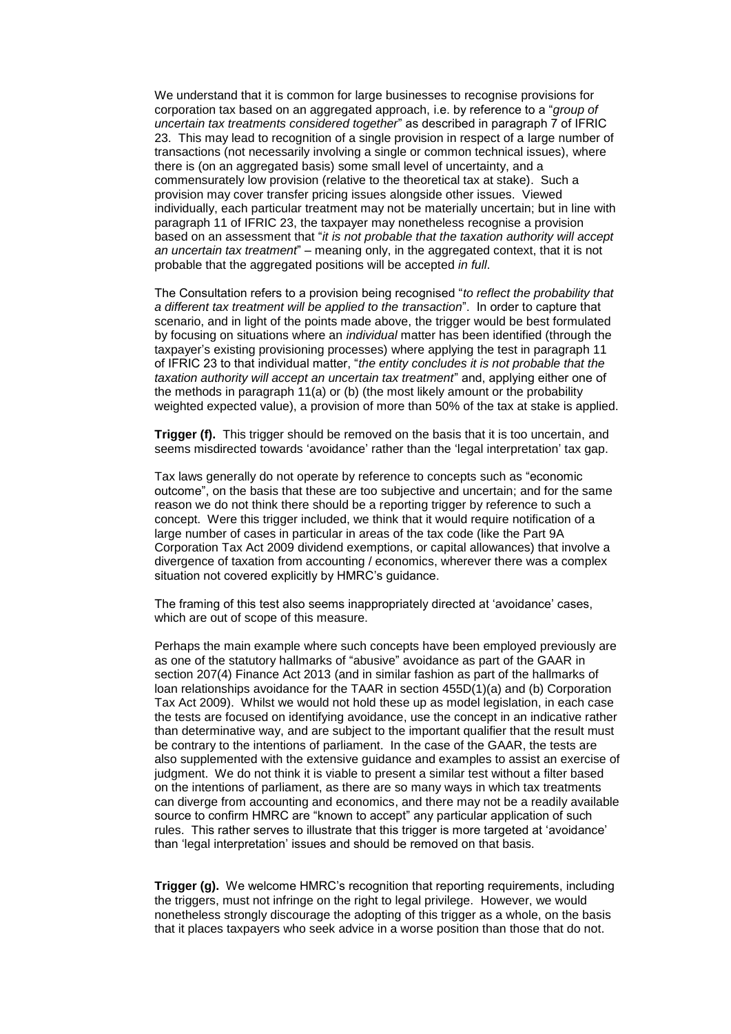We understand that it is common for large businesses to recognise provisions for corporation tax based on an aggregated approach, i.e. by reference to a "*group of uncertain tax treatments considered together*" as described in paragraph 7 of IFRIC 23. This may lead to recognition of a single provision in respect of a large number of transactions (not necessarily involving a single or common technical issues), where there is (on an aggregated basis) some small level of uncertainty, and a commensurately low provision (relative to the theoretical tax at stake). Such a provision may cover transfer pricing issues alongside other issues. Viewed individually, each particular treatment may not be materially uncertain; but in line with paragraph 11 of IFRIC 23, the taxpayer may nonetheless recognise a provision based on an assessment that "*it is not probable that the taxation authority will accept an uncertain tax treatment*" – meaning only, in the aggregated context, that it is not probable that the aggregated positions will be accepted *in full*.

The Consultation refers to a provision being recognised "*to reflect the probability that a different tax treatment will be applied to the transaction*". In order to capture that scenario, and in light of the points made above, the trigger would be best formulated by focusing on situations where an *individual* matter has been identified (through the taxpayer's existing provisioning processes) where applying the test in paragraph 11 of IFRIC 23 to that individual matter, "*the entity concludes it is not probable that the taxation authority will accept an uncertain tax treatment*" and, applying either one of the methods in paragraph 11(a) or (b) (the most likely amount or the probability weighted expected value), a provision of more than 50% of the tax at stake is applied.

**Trigger (f).** This trigger should be removed on the basis that it is too uncertain, and seems misdirected towards 'avoidance' rather than the 'legal interpretation' tax gap.

Tax laws generally do not operate by reference to concepts such as "economic outcome", on the basis that these are too subjective and uncertain; and for the same reason we do not think there should be a reporting trigger by reference to such a concept. Were this trigger included, we think that it would require notification of a large number of cases in particular in areas of the tax code (like the Part 9A Corporation Tax Act 2009 dividend exemptions, or capital allowances) that involve a divergence of taxation from accounting / economics, wherever there was a complex situation not covered explicitly by HMRC's quidance.

The framing of this test also seems inappropriately directed at 'avoidance' cases, which are out of scope of this measure.

Perhaps the main example where such concepts have been employed previously are as one of the statutory hallmarks of "abusive" avoidance as part of the GAAR in section 207(4) Finance Act 2013 (and in similar fashion as part of the hallmarks of loan relationships avoidance for the TAAR in section 455D(1)(a) and (b) Corporation Tax Act 2009). Whilst we would not hold these up as model legislation, in each case the tests are focused on identifying avoidance, use the concept in an indicative rather than determinative way, and are subject to the important qualifier that the result must be contrary to the intentions of parliament. In the case of the GAAR, the tests are also supplemented with the extensive guidance and examples to assist an exercise of judgment. We do not think it is viable to present a similar test without a filter based on the intentions of parliament, as there are so many ways in which tax treatments can diverge from accounting and economics, and there may not be a readily available source to confirm HMRC are "known to accept" any particular application of such rules. This rather serves to illustrate that this trigger is more targeted at 'avoidance' than 'legal interpretation' issues and should be removed on that basis.

**Trigger (g).** We welcome HMRC's recognition that reporting requirements, including the triggers, must not infringe on the right to legal privilege. However, we would nonetheless strongly discourage the adopting of this trigger as a whole, on the basis that it places taxpayers who seek advice in a worse position than those that do not.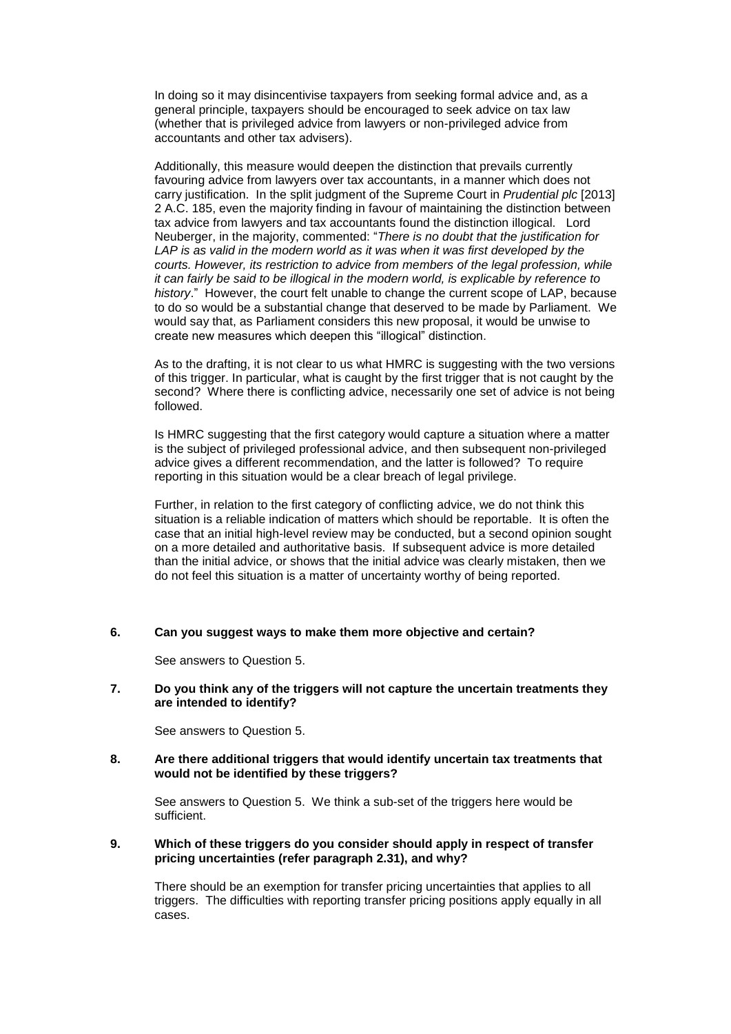In doing so it may disincentivise taxpayers from seeking formal advice and, as a general principle, taxpayers should be encouraged to seek advice on tax law (whether that is privileged advice from lawyers or non-privileged advice from accountants and other tax advisers).

Additionally, this measure would deepen the distinction that prevails currently favouring advice from lawyers over tax accountants, in a manner which does not carry justification. In the split judgment of the Supreme Court in *Prudential plc* [2013] 2 A.C. 185, even the majority finding in favour of maintaining the distinction between tax advice from lawyers and tax accountants found the distinction illogical. Lord Neuberger, in the majority, commented: "*There is no doubt that the justification for*  LAP is as valid in the modern world as it was when it was first developed by the *courts. However, its restriction to advice from members of the legal profession, while it can fairly be said to be illogical in the modern world, is explicable by reference to history*." However, the court felt unable to change the current scope of LAP, because to do so would be a substantial change that deserved to be made by Parliament. We would say that, as Parliament considers this new proposal, it would be unwise to create new measures which deepen this "illogical" distinction.

 As to the drafting, it is not clear to us what HMRC is suggesting with the two versions of this trigger. In particular, what is caught by the first trigger that is not caught by the second? Where there is conflicting advice, necessarily one set of advice is not being followed.

Is HMRC suggesting that the first category would capture a situation where a matter is the subject of privileged professional advice, and then subsequent non-privileged advice gives a different recommendation, and the latter is followed? To require reporting in this situation would be a clear breach of legal privilege.

Further, in relation to the first category of conflicting advice, we do not think this situation is a reliable indication of matters which should be reportable. It is often the case that an initial high-level review may be conducted, but a second opinion sought on a more detailed and authoritative basis. If subsequent advice is more detailed than the initial advice, or shows that the initial advice was clearly mistaken, then we do not feel this situation is a matter of uncertainty worthy of being reported.

### **6. Can you suggest ways to make them more objective and certain?**

See answers to Question 5.

### **7. Do you think any of the triggers will not capture the uncertain treatments they are intended to identify?**

See answers to Question 5.

## **8. Are there additional triggers that would identify uncertain tax treatments that would not be identified by these triggers?**

See answers to Question 5. We think a sub-set of the triggers here would be sufficient.

### **9. Which of these triggers do you consider should apply in respect of transfer pricing uncertainties (refer paragraph 2.31), and why?**

There should be an exemption for transfer pricing uncertainties that applies to all triggers. The difficulties with reporting transfer pricing positions apply equally in all cases.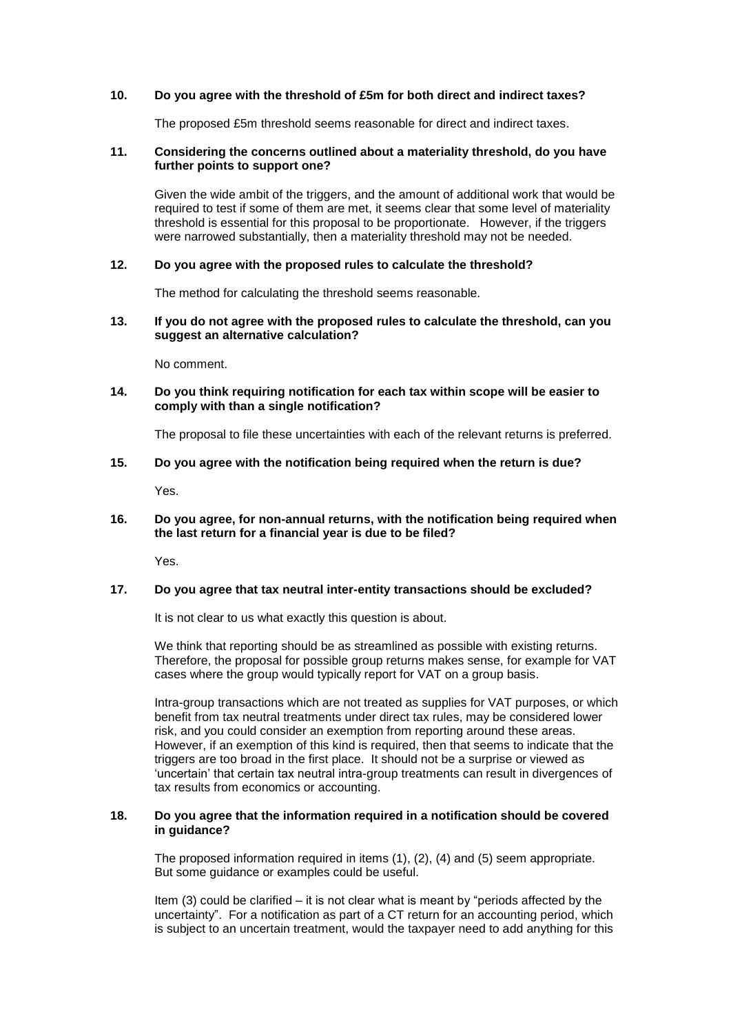# **10. Do you agree with the threshold of £5m for both direct and indirect taxes?**

The proposed £5m threshold seems reasonable for direct and indirect taxes.

#### **11. Considering the concerns outlined about a materiality threshold, do you have further points to support one?**

Given the wide ambit of the triggers, and the amount of additional work that would be required to test if some of them are met, it seems clear that some level of materiality threshold is essential for this proposal to be proportionate. However, if the triggers were narrowed substantially, then a materiality threshold may not be needed.

# **12. Do you agree with the proposed rules to calculate the threshold?**

The method for calculating the threshold seems reasonable.

#### **13. If you do not agree with the proposed rules to calculate the threshold, can you suggest an alternative calculation?**

No comment.

# **14. Do you think requiring notification for each tax within scope will be easier to comply with than a single notification?**

The proposal to file these uncertainties with each of the relevant returns is preferred.

# **15. Do you agree with the notification being required when the return is due?**

Yes.

# **16. Do you agree, for non-annual returns, with the notification being required when the last return for a financial year is due to be filed?**

Yes.

### **17. Do you agree that tax neutral inter-entity transactions should be excluded?**

It is not clear to us what exactly this question is about.

We think that reporting should be as streamlined as possible with existing returns. Therefore, the proposal for possible group returns makes sense, for example for VAT cases where the group would typically report for VAT on a group basis.

Intra-group transactions which are not treated as supplies for VAT purposes, or which benefit from tax neutral treatments under direct tax rules, may be considered lower risk, and you could consider an exemption from reporting around these areas. However, if an exemption of this kind is required, then that seems to indicate that the triggers are too broad in the first place. It should not be a surprise or viewed as 'uncertain' that certain tax neutral intra-group treatments can result in divergences of tax results from economics or accounting.

#### **18. Do you agree that the information required in a notification should be covered in guidance?**

The proposed information required in items (1), (2), (4) and (5) seem appropriate. But some guidance or examples could be useful.

Item (3) could be clarified – it is not clear what is meant by "periods affected by the uncertainty". For a notification as part of a CT return for an accounting period, which is subject to an uncertain treatment, would the taxpayer need to add anything for this